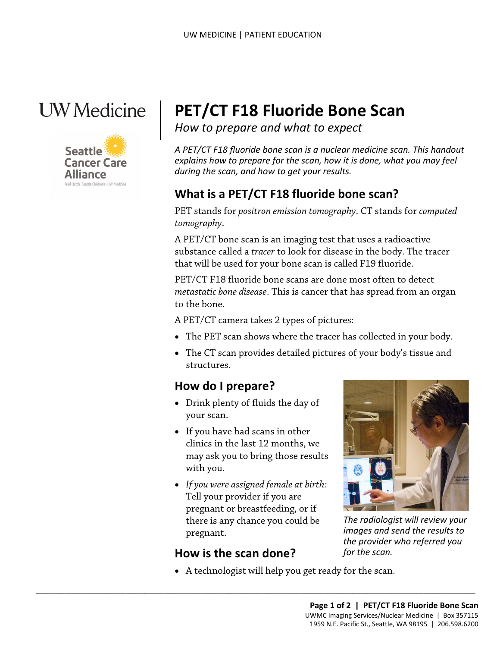

|



# <sup>|</sup>**PET/CT F18 Fluoride Bone Scan** | *How to prepare and what to expect* <sup>|</sup>

*A PET/CT F18 fluoride bone scan is a nuclear medicine scan. This handout explains how to prepare for the scan, how it is done, what you may feel during the scan, and how to get your results.* 

### **What is a PET/CT F18 fluoride bone scan?**

PET stands for *positron emission tomography*. CT stands for *computed tomography*.

A PET/CT bone scan is an imaging test that uses a radioactive substance called a *tracer* to look for disease in the body. The tracer that will be used for your bone scan is called F19 fluoride.

 *metastatic bone disease*. This is cancer that has spread from an organ PET/CT F18 fluoride bone scans are done most often to detect to the bone.

A PET/CT camera takes 2 types of pictures:

- The PET scan shows where the tracer has collected in your body.
- The CT scan provides detailed pictures of your body's tissue and structures.

#### **How do I prepare?**

- Drink plenty of fluids the day of your scan.
- If you have had scans in other clinics in the last 12 months, we may ask you to bring those results with you.
- *If you were assigned female at birth:*  Tell your provider if you are pregnant or breastfeeding, or if there is any chance you could be pregnant.

 $\_$  ,  $\_$  ,  $\_$  ,  $\_$  ,  $\_$  ,  $\_$  ,  $\_$  ,  $\_$  ,  $\_$  ,  $\_$  ,  $\_$  ,  $\_$  ,  $\_$  ,  $\_$  ,  $\_$  ,  $\_$  ,  $\_$  ,  $\_$  ,  $\_$  ,  $\_$  ,  $\_$  ,  $\_$  ,  $\_$  ,  $\_$  ,  $\_$  ,  $\_$  ,  $\_$  ,  $\_$  ,  $\_$  ,  $\_$  ,  $\_$  ,  $\_$  ,  $\_$  ,  $\_$  ,  $\_$  ,  $\_$  ,  $\_$  ,

### **How is the scan done?**



 *the provider who referred you The radiologist will review your images and send the results to for the scan.* 

• A technologist will help you get ready for the scan.